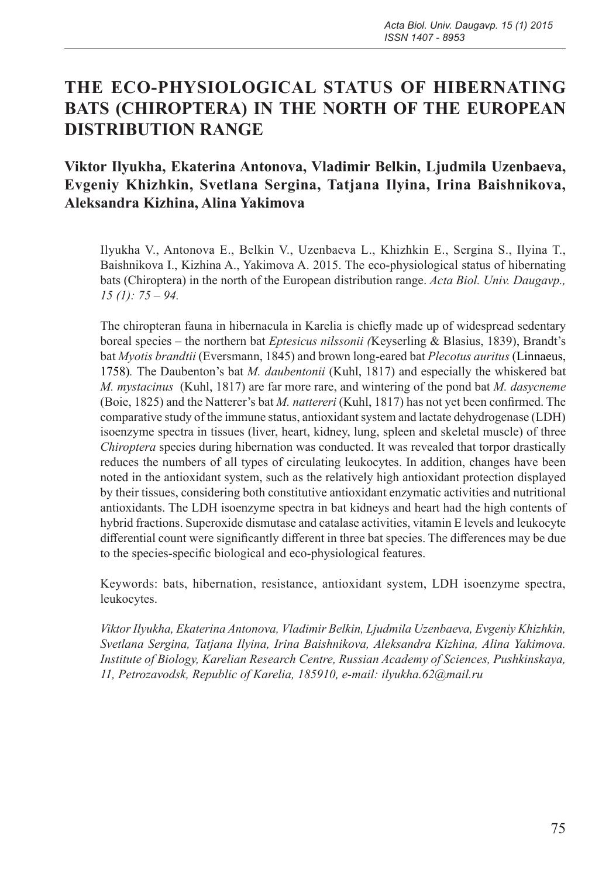# **THE ECO-PHYSIOLOGICAL STATUS OF HIBERNATING BATS (CHIROPTERA) IN THE NORTH OF THE EUROPEAN DISTRIBUTION RANGE**

# **Viktor Ilyukha, Ekaterina Antonova, Vladimir Belkin, Ljudmila Uzenbaeva, Evgeniy Khizhkin, Svetlana Sergina, Tatjana Ilyina, Irina Baishnikova, Aleksandra Kizhina, Alina Yakimova**

Ilyukha V., Antonova E., Belkin V., Uzenbaeva L., Khizhkin E., Sergina S., Ilyina T., Baishnikova I., Kizhina A., Yakimova A. 2015. The eco-physiological status of hibernating bats (Chiroptera) in the north of the European distribution range. *Acta Biol. Univ. Daugavp., 15 (1): 75 – 94.*

The chiropteran fauna in hibernacula in Karelia is chiefly made up of widespread sedentary boreal species – the northern bat *Eptesicus nilssonii (*Keyserling & Blasius, 1839), Brandt's bat *Myotis brandtii* (Eversmann, 1845) and brown long-eared bat *Plecotus auritus* (Linnaeus, 1758)*.* The Daubenton's bat *M. daubentonii* (Kuhl, 1817) and especially the whiskered bat *M. mystacinus* (Kuhl, 1817) are far more rare, and wintering of the pond bat *M. dasycneme*  (Boie, 1825) and the Natterer's bat *M. nattereri* (Kuhl, 1817) has not yet been confirmed. The comparative study of the immune status, antioxidant system and lactate dehydrogenase (LDH) isoenzyme spectra in tissues (liver, heart, kidney, lung, spleen and skeletal muscle) of three *Chiroptera* species during hibernation was conducted. It was revealed that torpor drastically reduces the numbers of all types of circulating leukocytes. In addition, changes have been noted in the antioxidant system, such as the relatively high antioxidant protection displayed by their tissues, considering both constitutive antioxidant enzymatic activities and nutritional antioxidants. The LDH isoenzyme spectra in bat kidneys and heart had the high contents of hybrid fractions. Superoxide dismutase and catalase activities, vitamin E levels and leukocyte differential count were significantly different in three bat species. The differences may be due to the species-specific biological and eco-physiological features.

Keywords: bats, hibernation, resistance, antioxidant system, LDH isoenzyme spectra, leukocytes.

*Viktor Ilyukha, Ekaterina Antonova, Vladimir Belkin, Ljudmila Uzenbaeva, Evgeniy Khizhkin, Svetlana Sergina, Tatjana Ilyina, Irina Baishnikova, Aleksandra Kizhina, Alina Yakimova. Institute of Biology, Karelian Research Centre, Russian Academy of Sciences, Pushkinskaya, 11, Petrozavodsk, Republic of Karelia, 185910, e-mail: ilyukha.62@mail.ru*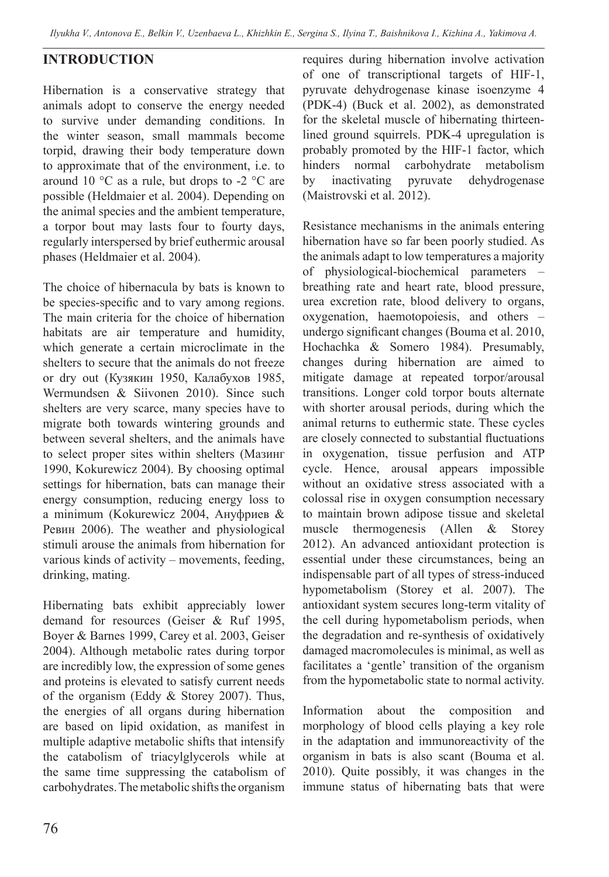### **INTRODUCTION**

Hibernation is a conservative strategy that animals adopt to conserve the energy needed to survive under demanding conditions. In the winter season, small mammals become torpid, drawing their body temperature down to approximate that of the environment, i.e. to around 10 °C as a rule, but drops to -2 °С are possible (Heldmaier et al. 2004). Depending on the animal species and the ambient temperature, a torpor bout may lasts four to fourty days, regularly interspersed by brief euthermic arousal phases (Heldmaier et al. 2004).

The choice of hibernacula by bats is known to be species-specific and to vary among regions. The main criteria for the choice of hibernation habitats are air temperature and humidity, which generate a certain microclimate in the shelters to secure that the animals do not freeze or dry out (Кузякин 1950, Калабухов 1985, Wermundsen & Siivonen 2010). Since such shelters are very scarce, many species have to migrate both towards wintering grounds and between several shelters, and the animals have to select proper sites within shelters (Мазинг 1990, Kokurewicz 2004). By choosing optimal settings for hibernation, bats can manage their energy consumption, reducing energy loss to a minimum (Kokurewicz 2004, Ануфриев & Ревин 2006). The weather and physiological stimuli arouse the animals from hibernation for various kinds of activity – movements, feeding, drinking, mating.

Hibernating bats exhibit appreciably lower demand for resources (Geiser & Ruf 1995, Boyer & Barnes 1999, Carey et al. 2003, Geiser 2004). Although metabolic rates during torpor are incredibly low, the expression of some genes and proteins is elevated to satisfy current needs of the organism (Eddy & Storey 2007). Thus, the energies of all organs during hibernation are based on lipid oxidation, as manifest in multiple adaptive metabolic shifts that intensify the catabolism of triacylglycerols while at the same time suppressing the catabolism of carbohydrates. The metabolic shifts the organism

requires during hibernation involve activation of one of transcriptional targets of HIF-1, pyruvate dehydrogenase kinase isoenzyme 4 (PDK-4) (Buck et al. 2002), as demonstrated for the skeletal muscle of hibernating thirteenlined ground squirrels. PDK-4 upregulation is probably promoted by the HIF-1 factor, which hinders normal carbohydrate metabolism by inactivating pyruvate dehydrogenase (Maistrovski et al. 2012).

Resistance mechanisms in the animals entering hibernation have so far been poorly studied. As the animals adapt to low temperatures a majority of physiological-biochemical parameters – breathing rate and heart rate, blood pressure, urea excretion rate, blood delivery to organs, oxygenation, haemotopoiesis, and others – undergo significant changes (Bouma et al. 2010, Hochachka & Somero 1984). Presumably, changes during hibernation are aimed to mitigate damage at repeated torpor/arousal transitions. Longer cold torpor bouts alternate with shorter arousal periods, during which the animal returns to euthermic state. These cycles are closely connected to substantial fluctuations in oxygenation, tissue perfusion and ATP cycle. Hence, arousal appears impossible without an oxidative stress associated with a colossal rise in oxygen consumption necessary to maintain brown adipose tissue and skeletal muscle thermogenesis (Allen & Storey 2012). An advanced antioxidant protection is essential under these circumstances, being an indispensable part of all types of stress-induced hypometabolism (Storey et al. 2007). The antioxidant system secures long-term vitality of the cell during hypometabolism periods, when the degradation and re-synthesis of oxidatively damaged macromolecules is minimal, as well as facilitates a 'gentle' transition of the organism from the hypometabolic state to normal activity.

Information about the composition and morphology of blood cells playing a key role in the adaptation and immunoreactivity of the organism in bats is also scant (Bouma et al. 2010). Quite possibly, it was changes in the immune status of hibernating bats that were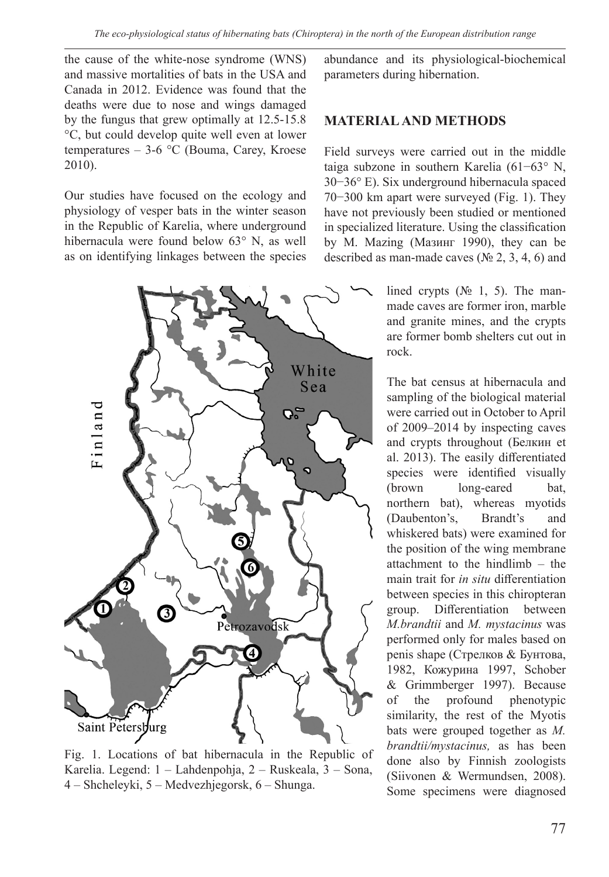the cause of the white-nose syndrome (WNS) and massive mortalities of bats in the USA and Canada in 2012. Evidence was found that the deaths were due to nose and wings damaged by the fungus that grew optimally at 12.5-15.8 °С, but could develop quite well even at lower temperatures – 3-6 °C (Bouma, Carey, Kroese 2010).

Our studies have focused on the ecology and physiology of vesper bats in the winter season in the Republic of Karelia, where underground hibernacula were found below 63° N, as well as on identifying linkages between the species



Fig. 1. Locations of bat hibernacula in the Republic of Karelia. Legend: 1 – Lahdenpohja, 2 – Ruskeala, 3 – Sona, 4 – Shcheleyki, 5 – Medvezhjegorsk, 6 – Shunga.

abundance and its physiological-biochemical parameters during hibernation.

#### **MATERIALAND METHODS**

Field surveys were carried out in the middle taiga subzone in southern Karelia (61−63° N, 30−36° E). Six underground hibernacula spaced 70−300 km apart were surveyed (Fig. 1). They have not previously been studied or mentioned in specialized literature. Using the classification by M. Mazing (Мазинг 1990), they can be described as man-made caves ( $\mathcal{N}$  2, 3, 4, 6) and

> lined crypts  $(N<sub>2</sub> 1, 5)$ . The manmade caves are former iron, marble and granite mines, and the crypts are former bomb shelters cut out in rock.

The bat census at hibernacula and sampling of the biological material were carried out in October to April of 2009–2014 by inspecting caves and crypts throughout (Белкин et al. 2013). The easily differentiated species were identified visually (brown long-eared bat, northern bat), whereas myotids (Daubenton's, Brandt's and whiskered bats) were examined for the position of the wing membrane attachment to the hindlimb – the main trait for *in situ* differentiation between species in this chiropteran group. Differentiation between *M.brandtii* and *M. mystacinus* was performed only for males based on penis shape (Стрелков & Бунтова, 1982, Кожурина 1997, Schober & Grimmberger 1997). Because of the profound phenotypic similarity, the rest of the Myotis bats were grouped together as *M. brandtii/mystacinus,* as has been done also by Finnish zoologists (Siivonen & Wermundsen, 2008). Some specimens were diagnosed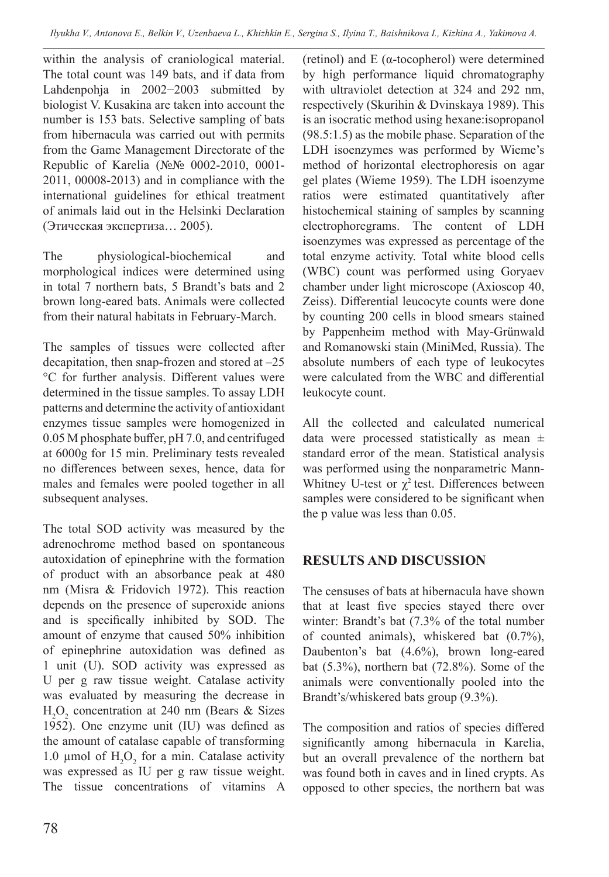within the analysis of craniological material. The total count was 149 bats, and if data from Lahdenpohja in 2002−2003 submitted by biologist V. Kusakina are taken into account the number is 153 bats. Selective sampling of bats from hibernacula was carried out with permits from the Game Management Directorate of the Republic of Karelia (№№ 0002-2010, 0001- 2011, 00008-2013) and in compliance with the international guidelines for ethical treatment of animals laid out in the Helsinki Declaration (Этическая экспертиза… 2005).

The physiological-biochemical and morphological indices were determined using in total 7 northern bats, 5 Brandt's bats and 2 brown long-eared bats. Animals were collected from their natural habitats in February-March.

The samples of tissues were collected after decapitation, then snap-frozen and stored at –25 °C for further analysis. Different values were determined in the tissue samples. To assay LDH patterns and determine the activity of antioxidant enzymes tissue samples were homogenized in 0.05 M phosphate buffer, pH 7.0, and centrifuged at 6000g for 15 min. Preliminary tests revealed no differences between sexes, hence, data for males and females were pooled together in all subsequent analyses.

The total SOD activity was measured by the adrenochrome method based on spontaneous autoxidation of epinephrine with the formation of product with an absorbance peak at 480 nm (Misra & Fridovich 1972). This reaction depends on the presence of superoxide anions and is specifically inhibited by SOD. The amount of enzyme that caused 50% inhibition of epinephrine autoxidation was defined as 1 unit (U). SOD activity was expressed as U per g raw tissue weight. Catalase activity was evaluated by measuring the decrease in  $H_2O_2$  concentration at 240 nm (Bears & Sizes 1952). One enzyme unit (IU) was defined as the amount of catalase capable of transforming 1.0 µmol of  $H_2O_2$  for a min. Catalase activity was expressed as IU per g raw tissue weight. The tissue concentrations of vitamins A

(retinol) and E (α-tocopherol) were determined by high performance liquid chromatography with ultraviolet detection at 324 and 292 nm, respectively (Skurihin & Dvinskaya 1989). This is an isocratic method using hexane:isopropanol (98.5:1.5) as the mobile phase. Separation of the LDH isoenzymes was performed by Wieme's method of horizontal electrophoresis on agar gel plates (Wieme 1959). The LDH isoenzyme ratios were estimated quantitatively after histochemical staining of samples by scanning electrophoregrams. The content of LDH isoenzymes was expressed as percentage of the total enzyme activity. Total white blood cells (WBC) count was performed using Goryaev chamber under light microscope (Axioscop 40, Zeiss). Differential leucocyte counts were done by counting 200 cells in blood smears stained by Pappenheim method with May-Grünwald and Romanowski stain (MiniMed, Russia). The absolute numbers of each type of leukocytes were calculated from the WBC and differential leukocyte count.

All the collected and calculated numerical data were processed statistically as mean  $\pm$ standard error of the mean. Statistical analysis was performed using the nonparametric Mann-Whitney U-test or  $\chi^2$  test. Differences between samples were considered to be significant when the p value was less than 0.05.

# **RESULTS AND DISCUSSION**

The censuses of bats at hibernacula have shown that at least five species stayed there over winter: Brandt's bat (7.3% of the total number of counted animals), whiskered bat (0.7%), Daubenton's bat (4.6%), brown long-eared bat (5.3%), northern bat (72.8%). Some of the animals were conventionally pooled into the Brandt's/whiskered bats group (9.3%).

The composition and ratios of species differed significantly among hibernacula in Karelia, but an overall prevalence of the northern bat was found both in caves and in lined crypts. As opposed to other species, the northern bat was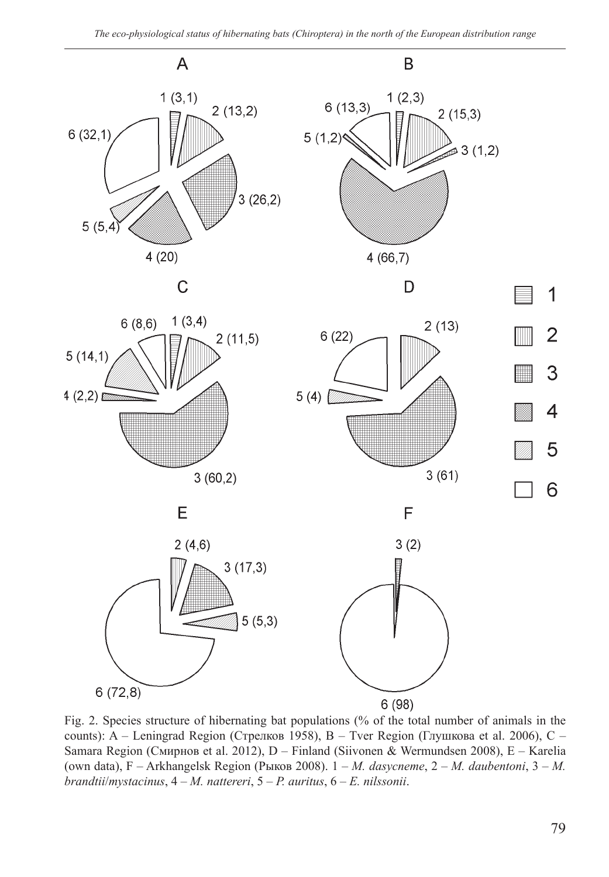

Fig. 2. Species structure of hibernating bat populations (% of the total number of animals in the counts): A – Leningrad Region (Стрелков 1958), B – Tver Region (Глушкова et al. 2006), C – Samara Region (Смирнов et al. 2012), D – Finland (Siivonen & Wermundsen 2008), E – Karelia (own data), F – Arkhangelsk Region (Рыков 2008). 1 – *M. dasycneme*, 2 – *M. daubentoni*, 3 – *M. brandtii*/*mystacinus*, 4 – *M. nattereri*, 5 – *P. auritus*, 6 – *E. nilssonii*.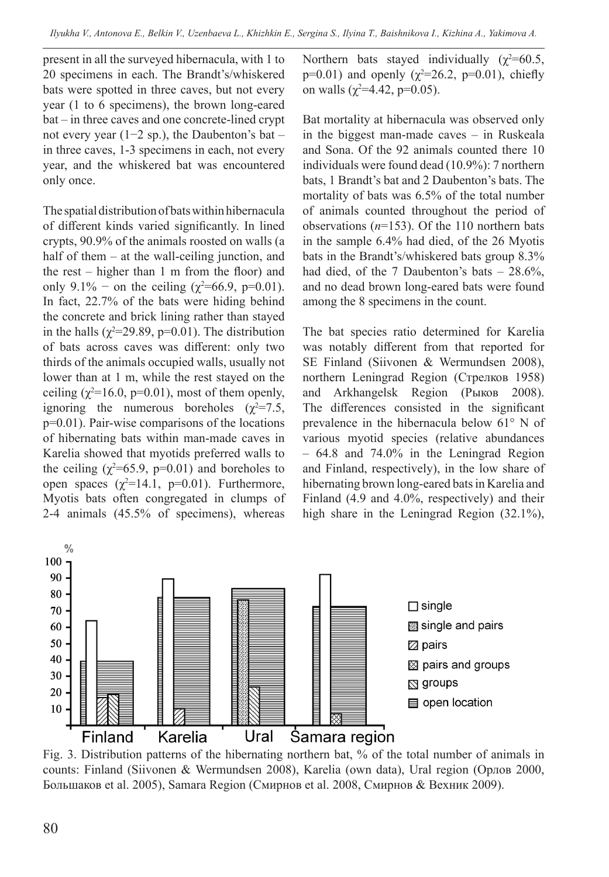present in all the surveyed hibernacula, with 1 to 20 specimens in each. The Brandt's/whiskered bats were spotted in three caves, but not every year (1 to 6 specimens), the brown long-eared bat – in three caves and one concrete-lined crypt not every year (1−2 sp.), the Daubenton's bat – in three caves, 1-3 specimens in each, not every year, and the whiskered bat was encountered only once.

The spatial distribution of bats within hibernacula of different kinds varied significantly. In lined crypts, 90.9% of the animals roosted on walls (a half of them – at the wall-ceiling junction, and the rest – higher than 1 m from the floor) and only 9.1% – on the ceiling ( $\chi^2$ =66.9, p=0.01). In fact, 22.7% of the bats were hiding behind the concrete and brick lining rather than stayed in the halls ( $\chi^2$ =29.89, p=0.01). The distribution of bats across caves was different: only two thirds of the animals occupied walls, usually not lower than at 1 m, while the rest stayed on the ceiling  $(\chi^2=16.0, p=0.01)$ , most of them openly, ignoring the numerous boreholes  $(\chi^2=7.5,$ p=0.01). Pair-wise comparisons of the locations of hibernating bats within man-made caves in Karelia showed that myotids preferred walls to the ceiling  $(\chi^2=65.9, p=0.01)$  and boreholes to open spaces  $(\chi^2=14.1, p=0.01)$ . Furthermore, Myotis bats often congregated in clumps of 2-4 animals (45.5% of specimens), whereas

Northern bats stayed individually  $(\chi^2=60.5,$  $p=0.01$ ) and openly ( $\chi^2=26.2$ ,  $p=0.01$ ), chiefly on walls ( $\chi^2$ =4.42, p=0.05).

Bat mortality at hibernacula was observed only in the biggest man-made caves – in Ruskeala and Sona. Of the 92 animals counted there 10 individuals were found dead (10.9%): 7 northern bats, 1 Brandt's bat and 2 Daubenton's bats. The mortality of bats was 6.5% of the total number of animals counted throughout the period of observations (*n*=153). Of the 110 northern bats in the sample 6.4% had died, of the 26 Myotis bats in the Brandt's/whiskered bats group 8.3% had died, of the 7 Daubenton's bats - 28.6%, and no dead brown long-eared bats were found among the 8 specimens in the count.

The bat species ratio determined for Karelia was notably different from that reported for SE Finland (Siivonen & Wermundsen 2008), northern Leningrad Region (Стрелков 1958) and Arkhangelsk Region (Рыков 2008). The differences consisted in the significant prevalence in the hibernacula below 61° N of various myotid species (relative abundances – 64.8 and 74.0% in the Leningrad Region and Finland, respectively), in the low share of hibernating brown long-eared bats in Karelia and Finland (4.9 and 4.0%, respectively) and their high share in the Leningrad Region (32.1%),



Fig. 3. Distribution patterns of the hibernating northern bat, % of the total number of animals in counts: Finland (Siivonen & Wermundsen 2008), Karelia (own data), Ural region (Орлов 2000, Большаков et al. 2005), Samara Region (Смирнов et al. 2008, Смирнов & Вехник 2009).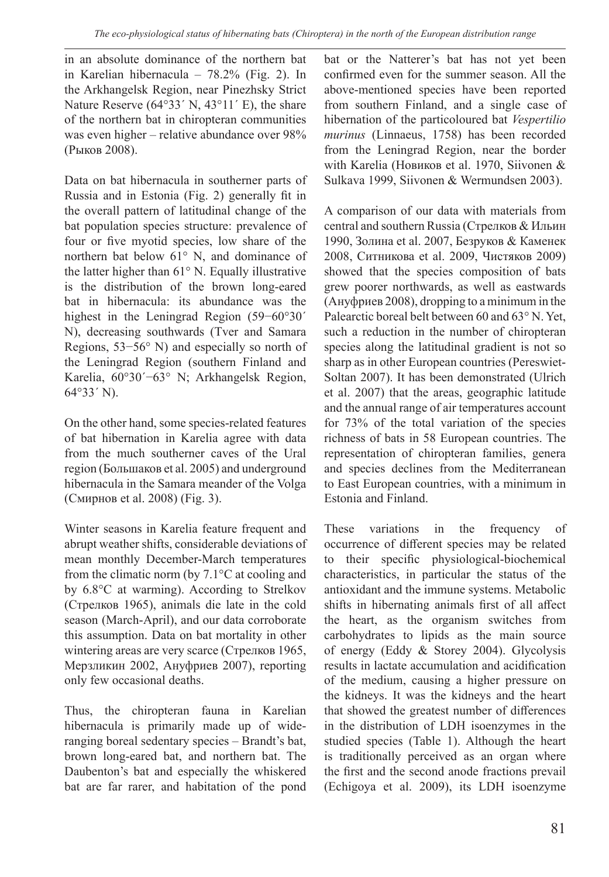in an absolute dominance of the northern bat in Karelian hibernacula – 78.2% (Fig. 2). In the Arkhangelsk Region, near Pinezhsky Strict Nature Reserve (64°33′ N, 43°11′ E), the share of the northern bat in chiropteran communities was even higher – relative abundance over 98% (Рыков 2008).

Data on bat hibernacula in southerner parts of Russia and in Estonia (Fig. 2) generally fit in the overall pattern of latitudinal change of the bat population species structure: prevalence of four or five myotid species, low share of the northern bat below 61° N, and dominance of the latter higher than 61° N. Equally illustrative is the distribution of the brown long-eared bat in hibernacula: its abundance was the highest in the Leningrad Region (59−60°30´ N), decreasing southwards (Tver and Samara Regions, 53−56° N) and especially so north of the Leningrad Region (southern Finland and Karelia, 60°30´−63° N; Arkhangelsk Region, 64°33´ N).

On the other hand, some species-related features of bat hibernation in Karelia agree with data from the much southerner caves of the Ural region (Большаков et al. 2005) and underground hibernacula in the Samara meander of the Volga (Смирнов et al. 2008) (Fig. 3).

Winter seasons in Karelia feature frequent and abrupt weather shifts, considerable deviations of mean monthly December-March temperatures from the climatic norm (by 7.1°С at cooling and by 6.8°С at warming). According to Strelkov (Стрелков 1965), animals die late in the cold season (March-April), and our data corroborate this assumption. Data on bat mortality in other wintering areas are very scarce (Стрелков 1965, Мерзликин 2002, Ануфриев 2007), reporting only few occasional deaths.

Thus, the chiropteran fauna in Karelian hibernacula is primarily made up of wideranging boreal sedentary species – Brandt's bat, brown long-eared bat, and northern bat. The Daubenton's bat and especially the whiskered bat are far rarer, and habitation of the pond bat or the Natterer's bat has not yet been confirmed even for the summer season. All the above-mentioned species have been reported from southern Finland, and a single case of hibernation of the particoloured bat *Vespertilio murinus* (Linnaeus, 1758) has been recorded from the Leningrad Region, near the border with Karelia (Новиков et al. 1970, Siivonen & Sulkava 1999, Siivonen & Wermundsen 2003).

A comparison of our data with materials from central and southern Russia (Стрелков & Ильин 1990, Золина et al. 2007, Безруков & Каменек 2008, Ситникова et al. 2009, Чистяков 2009) showed that the species composition of bats grew poorer northwards, as well as eastwards (Ануфриев 2008), dropping to a minimum in the Palearctic boreal belt between 60 and 63° N. Yet, such a reduction in the number of chiropteran species along the latitudinal gradient is not so sharp as in other European countries (Pereswiet-Soltan 2007). It has been demonstrated (Ulrich et al. 2007) that the areas, geographic latitude and the annual range of air temperatures account for 73% of the total variation of the species richness of bats in 58 European countries. The representation of chiropteran families, genera and species declines from the Mediterranean to East European countries, with a minimum in Estonia and Finland.

These variations in the frequency of occurrence of different species may be related to their specific physiological-biochemical characteristics, in particular the status of the antioxidant and the immune systems. Metabolic shifts in hibernating animals first of all affect the heart, as the organism switches from carbohydrates to lipids as the main source of energy (Eddy & Storey 2004). Glycolysis results in lactate accumulation and acidification of the medium, causing a higher pressure on the kidneys. It was the kidneys and the heart that showed the greatest number of differences in the distribution of LDH isoenzymes in the studied species (Table 1). Although the heart is traditionally perceived as an organ where the first and the second anode fractions prevail (Echigoya et al. 2009), its LDH isoenzyme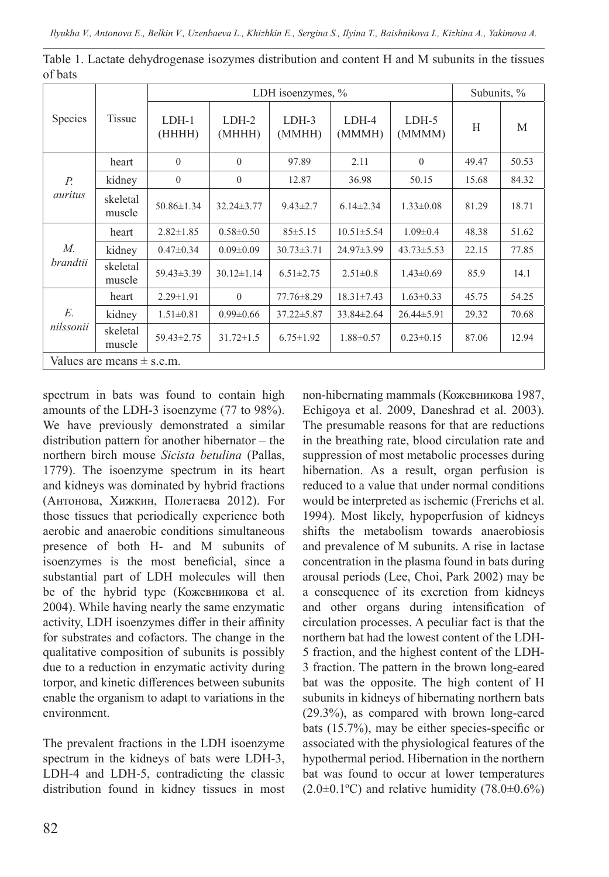|                               | <b>Tissue</b>      | LDH isoenzymes, % |                   |                   |                  |                  | Subunits, % |       |  |
|-------------------------------|--------------------|-------------------|-------------------|-------------------|------------------|------------------|-------------|-------|--|
| <b>Species</b>                |                    | $LDH-1$<br>(HHHH) | $LDH-2$<br>(MHHH) | $LDH-3$<br>(MMHH) | LDH-4<br>(MMMH)  | LDH-5<br>(MMMM)  | H           | M     |  |
| $P_{\cdot}$<br>auritus        | heart              | $\overline{0}$    | $\Omega$          | 97.89             | 2.11             | $\theta$         | 49.47       | 50.53 |  |
|                               | kidney             | $\overline{0}$    | $\theta$          | 12.87             | 36.98            | 50.15            | 15.68       | 84.32 |  |
|                               | skeletal<br>muscle | $50.86 \pm 1.34$  | $32.24 \pm 3.77$  | $9.43 \pm 2.7$    | $6.14 \pm 2.34$  | $1.33 \pm 0.08$  | 81.29       | 18.71 |  |
| М.<br>brandtii                | heart              | $2.82 \pm 1.85$   | $0.58 \pm 0.50$   | $85 \pm 5.15$     | $10.51 \pm 5.54$ | $1.09 \pm 0.4$   | 48.38       | 51.62 |  |
|                               | kidney             | $0.47 \pm 0.34$   | $0.09 \pm 0.09$   | $30.73 \pm 3.71$  | 24.97±3.99       | $43.73 \pm 5.53$ | 22.15       | 77.85 |  |
|                               | skeletal<br>muscle | 59.43±3.39        | $30.12 \pm 1.14$  | $6.51 \pm 2.75$   | $2.51 \pm 0.8$   | $1.43 \pm 0.69$  | 85.9        | 14.1  |  |
| E.<br>nilssonii               | heart              | $2.29 \pm 1.91$   | $\Omega$          | $77.76 \pm 8.29$  | $18.31 \pm 7.43$ | $1.63 \pm 0.33$  | 45.75       | 54.25 |  |
|                               | kidney             | $1.51 \pm 0.81$   | $0.99 \pm 0.66$   | $37.22 \pm 5.87$  | 33.84±2.64       | $26.44 \pm 5.91$ | 29.32       | 70.68 |  |
|                               | skeletal<br>muscle | 59.43±2.75        | $31.72 \pm 1.5$   | $6.75 \pm 1.92$   | $1.88 \pm 0.57$  | $0.23 \pm 0.15$  | 87.06       | 12.94 |  |
| Values are means $\pm$ s.e.m. |                    |                   |                   |                   |                  |                  |             |       |  |

Table 1. Lactate dehydrogenase isozymes distribution and content H and M subunits in the tissues of bats

spectrum in bats was found to contain high amounts of the LDH-3 isoenzyme (77 to 98%). We have previously demonstrated a similar distribution pattern for another hibernator – the northern birch mouse *Sicista betulina* (Pallas, 1779). The isoenzyme spectrum in its heart and kidneys was dominated by hybrid fractions (Антонова, Хижкин, Полетаева 2012). For those tissues that periodically experience both aerobic and anaerobic conditions simultaneous presence of both H- and M subunits of isoenzymes is the most beneficial, since a substantial part of LDH molecules will then be of the hybrid type (Кожевникова et al. 2004). While having nearly the same enzymatic activity, LDH isoenzymes differ in their affinity for substrates and cofactors. The change in the qualitative composition of subunits is possibly due to a reduction in enzymatic activity during torpor, and kinetic differences between subunits enable the organism to adapt to variations in the environment.

The prevalent fractions in the LDH isoenzyme spectrum in the kidneys of bats were LDH-3, LDH-4 and LDH-5, contradicting the classic distribution found in kidney tissues in most non-hibernating mammals (Кожевникова 1987, Echigoya et al. 2009, Daneshrad et al. 2003). The presumable reasons for that are reductions in the breathing rate, blood circulation rate and suppression of most metabolic processes during hibernation. As a result, organ perfusion is reduced to a value that under normal conditions would be interpreted as ischemic (Frerichs et al. 1994). Most likely, hypoperfusion of kidneys shifts the metabolism towards anaerobiosis and prevalence of M subunits. A rise in lactase concentration in the plasma found in bats during arousal periods (Lee, Choi, Park 2002) may be a consequence of its excretion from kidneys and other organs during intensification of circulation processes. A peculiar fact is that the northern bat had the lowest content of the LDH-5 fraction, and the highest content of the LDH-3 fraction. The pattern in the brown long-eared bat was the opposite. The high content of H subunits in kidneys of hibernating northern bats (29.3%), as compared with brown long-eared bats (15.7%), may be either species-specific or associated with the physiological features of the hypothermal period. Hibernation in the northern bat was found to occur at lower temperatures  $(2.0\pm0.1\text{°C})$  and relative humidity  $(78.0\pm0.6\%)$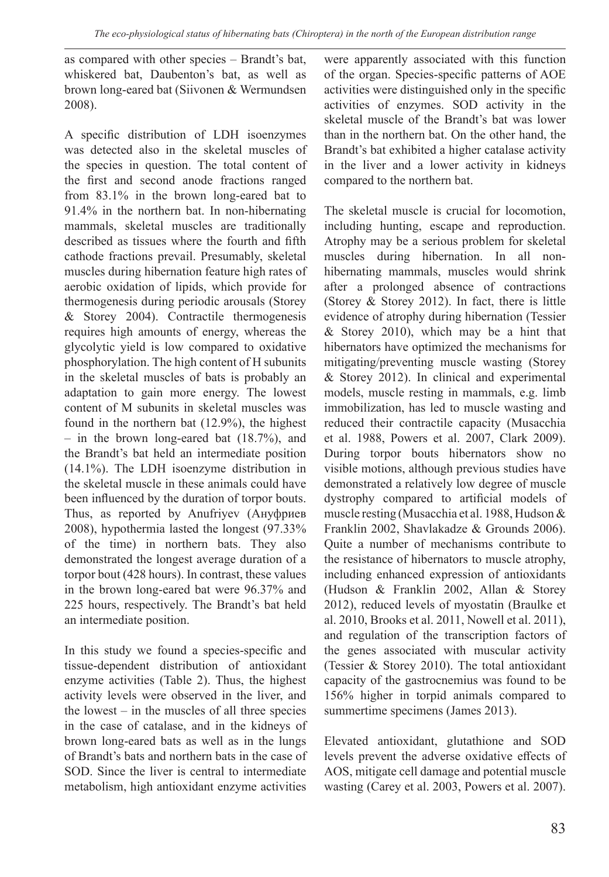as compared with other species – Brandt's bat, whiskered bat, Daubenton's bat, as well as brown long-eared bat (Siivonen & Wermundsen 2008).

A specific distribution of LDH isoenzymes was detected also in the skeletal muscles of the species in question. The total content of the first and second anode fractions ranged from 83.1% in the brown long-eared bat to 91.4% in the northern bat. In non-hibernating mammals, skeletal muscles are traditionally described as tissues where the fourth and fifth cathode fractions prevail. Presumably, skeletal muscles during hibernation feature high rates of aerobic oxidation of lipids, which provide for thermogenesis during periodic arousals (Storey & Storey 2004). Contractile thermogenesis requires high amounts of energy, whereas the glycolytic yield is low compared to oxidative phosphorylation. The high content of H subunits in the skeletal muscles of bats is probably an adaptation to gain more energy. The lowest content of M subunits in skeletal muscles was found in the northern bat (12.9%), the highest – in the brown long-eared bat (18.7%), and the Brandt's bat held an intermediate position (14.1%). The LDH isoenzyme distribution in the skeletal muscle in these animals could have been influenced by the duration of torpor bouts. Thus, as reported by Anufriyev (Ануфриев 2008), hypothermia lasted the longest (97.33% of the time) in northern bats. They also demonstrated the longest average duration of a torpor bout (428 hours). In contrast, these values in the brown long-eared bat were 96.37% and 225 hours, respectively. The Brandt's bat held an intermediate position.

In this study we found a species-specific and tissue-dependent distribution of antioxidant enzyme activities (Table 2). Thus, the highest activity levels were observed in the liver, and the lowest – in the muscles of all three species in the case of catalase, and in the kidneys of brown long-eared bats as well as in the lungs of Brandt's bats and northern bats in the case of SOD. Since the liver is central to intermediate metabolism, high antioxidant enzyme activities

were apparently associated with this function of the organ. Species-specific patterns of AOE activities were distinguished only in the specific activities of enzymes. SOD activity in the skeletal muscle of the Brandt's bat was lower than in the northern bat. On the other hand, the Brandt's bat exhibited a higher catalase activity in the liver and a lower activity in kidneys compared to the northern bat.

The skeletal muscle is crucial for locomotion, including hunting, escape and reproduction. Atrophy may be a serious problem for skeletal muscles during hibernation. In all nonhibernating mammals, muscles would shrink after a prolonged absence of contractions (Storey & Storey 2012). In fact, there is little evidence of atrophy during hibernation (Tessier & Storey 2010), which may be a hint that hibernators have optimized the mechanisms for mitigating/preventing muscle wasting (Storey & Storey 2012). In clinical and experimental models, muscle resting in mammals, e.g. limb immobilization, has led to muscle wasting and reduced their contractile capacity (Musacchia et al. 1988, Powers et al. 2007, Clark 2009). During torpor bouts hibernators show no visible motions, although previous studies have demonstrated a relatively low degree of muscle dystrophy compared to artificial models of muscle resting (Musacchia et al. 1988, Hudson & Franklin 2002, Shavlakadze & Grounds 2006). Quite a number of mechanisms contribute to the resistance of hibernators to muscle atrophy, including enhanced expression of antioxidants (Hudson & Franklin 2002, Allan & Storey 2012), reduced levels of myostatin (Braulke et al. 2010, Brooks et al. 2011, Nowell et al. 2011), and regulation of the transcription factors of the genes associated with muscular activity (Tessier & Storey 2010). The total antioxidant capacity of the gastrocnemius was found to be 156% higher in torpid animals compared to summertime specimens (James 2013).

Elevated antioxidant, glutathione and SOD levels prevent the adverse oxidative effects of AOS, mitigate cell damage and potential muscle wasting (Carey et al. 2003, Powers et al. 2007).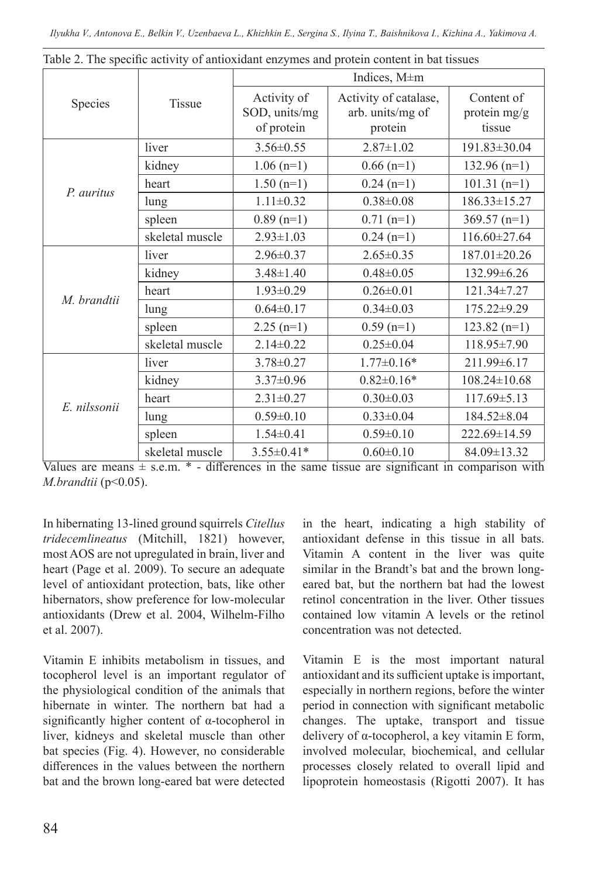|              |                 | Indices, M±m                               |                                                      |                                      |  |  |  |
|--------------|-----------------|--------------------------------------------|------------------------------------------------------|--------------------------------------|--|--|--|
| Species      | Tissue          | Activity of<br>SOD, units/mg<br>of protein | Activity of catalase,<br>arb. units/mg of<br>protein | Content of<br>protein mg/g<br>tissue |  |  |  |
|              | liver           | $3.56 \pm 0.55$                            | $2.87 \pm 1.02$                                      | 191.83±30.04                         |  |  |  |
|              | kidney          | $1.06$ (n=1)                               | $0.66$ (n=1)                                         | $132.96$ (n=1)                       |  |  |  |
| P. auritus   | heart           | $1.50(n=1)$                                | $0.24(n=1)$                                          | $101.31(n=1)$                        |  |  |  |
|              | lung            | $1.11 \pm 0.32$                            | $0.38 \pm 0.08$                                      | $186.33 \pm 15.27$                   |  |  |  |
|              | spleen          | $0.89$ (n=1)                               | $0.71$ (n=1)                                         | $369.57$ (n=1)                       |  |  |  |
|              | skeletal muscle | $2.93 \pm 1.03$                            | $0.24(n=1)$                                          | 116.60±27.64                         |  |  |  |
|              | liver           | $2.96 \pm 0.37$                            | $2.65 \pm 0.35$                                      | 187.01±20.26                         |  |  |  |
|              | kidney          | $3.48 \pm 1.40$                            | $0.48 \pm 0.05$                                      | 132.99±6.26                          |  |  |  |
| M. brandtii  | heart           | $1.93 \pm 0.29$                            | $0.26 \pm 0.01$                                      | $121.34 \pm 7.27$                    |  |  |  |
|              | lung            | $0.64 \pm 0.17$                            | $0.34 \pm 0.03$                                      | 175.22±9.29                          |  |  |  |
|              | spleen          | $2.25(n=1)$                                | $0.59$ (n=1)                                         | $123.82(n=1)$                        |  |  |  |
|              | skeletal muscle | $2.14 \pm 0.22$                            | $0.25 \pm 0.04$                                      | 118.95±7.90                          |  |  |  |
|              | liver           | $3.78 \pm 0.27$                            | $1.77 \pm 0.16*$                                     | 211.99±6.17                          |  |  |  |
|              | kidney          | $3.37 \pm 0.96$                            | $0.82 \pm 0.16*$                                     | $108.24 \pm 10.68$                   |  |  |  |
| E. nilssonii | heart           | $2.31 \pm 0.27$                            | $0.30 \pm 0.03$                                      | 117.69±5.13                          |  |  |  |
|              | lung            | $0.59 \pm 0.10$                            | $0.33 \pm 0.04$                                      | 184.52±8.04                          |  |  |  |
|              | spleen          | $1.54 \pm 0.41$                            | $0.59 \pm 0.10$                                      | 222.69±14.59                         |  |  |  |
|              | skeletal muscle | $3.55 \pm 0.41*$                           | $0.60 \pm 0.10$                                      | 84.09±13.32                          |  |  |  |

Table 2. The specific activity of antioxidant enzymes and protein content in bat tissues

Values are means  $\pm$  s.e.m.  $*$  – differences in the same tissue are significant in comparison with *M.brandtii* (р<0.05).

In hibernating 13-lined ground squirrels *Citellus tridecemlineatus* (Mitchill, 1821) however, most AOS are not upregulated in brain, liver and heart (Page et al. 2009). To secure an adequate level of antioxidant protection, bats, like other hibernators, show preference for low-molecular antioxidants (Drew et al. 2004, Wilhelm-Filho et al. 2007).

Vitamin E inhibits metabolism in tissues, and tocopherol level is an important regulator of the physiological condition of the animals that hibernate in winter. The northern bat had a significantly higher content of α-tocopherol in liver, kidneys and skeletal muscle than other bat species (Fig. 4). However, no considerable differences in the values between the northern bat and the brown long-eared bat were detected in the heart, indicating a high stability of antioxidant defense in this tissue in all bats. Vitamin A content in the liver was quite similar in the Brandt's bat and the brown longeared bat, but the northern bat had the lowest retinol concentration in the liver. Other tissues contained low vitamin A levels or the retinol concentration was not detected.

Vitamin E is the most important natural antioxidant and its sufficient uptake is important, especially in northern regions, before the winter period in connection with significant metabolic changes. The uptake, transport and tissue delivery of α-tocopherol, a key vitamin E form, involved molecular, biochemical, and cellular processes closely related to overall lipid and lipoprotein homeostasis (Rigotti 2007). It has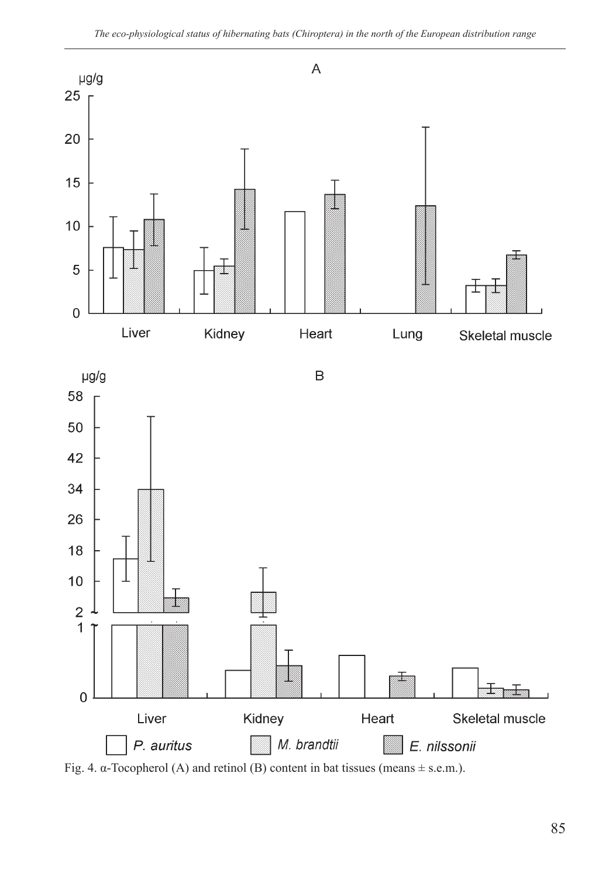

Fig. 4.  $\alpha$ -Tocopherol (A) and retinol (B) content in bat tissues (means  $\pm$  s.e.m.).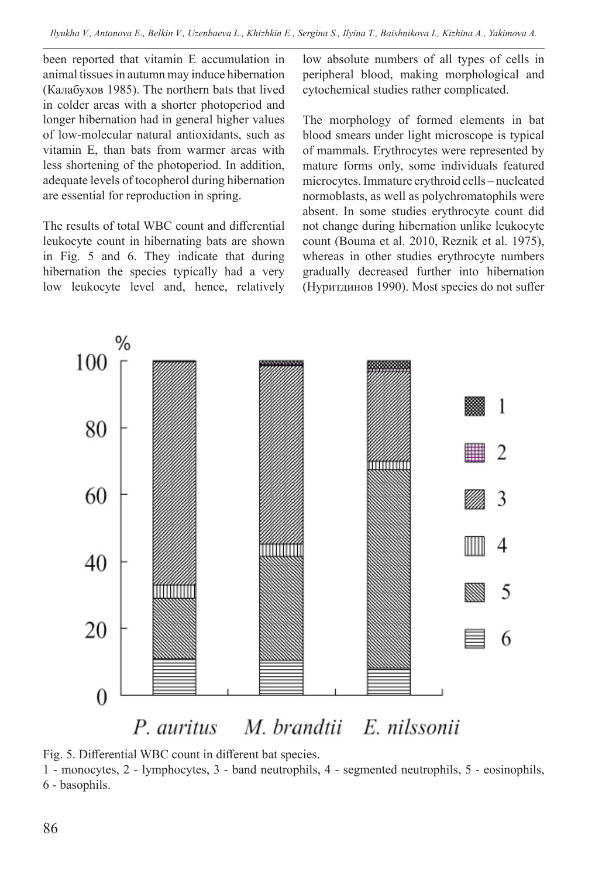been reported that vitamin E accumulation in animal tissues in autumn may induce hibernation (Калабухов 1985). The northern bats that lived in colder areas with a shorter photoperiod and longer hibernation had in general higher values of low-molecular natural antioxidants, such as vitamin E, than bats from warmer areas with less shortening of the photoperiod. In addition, adequate levels of tocopherol during hibernation are essential for reproduction in spring.

The results of total WBC count and differential leukocyte count in hibernating bats are shown in Fig. 5 and 6. They indicate that during hibernation the species typically had a very low leukocyte level and, hence, relatively low absolute numbers of all types of cells in peripheral blood, making morphological and cytochemical studies rather complicated.

The morphology of formed elements in bat blood smears under light microscope is typical of mammals. Erythrocytes were represented by mature forms only, some individuals featured microcytes. Immature erythroid cells – nucleated normoblasts, as well as polychromatophils were absent. In some studies erythrocyte count did not change during hibernation unlike leukocyte count (Bouma et al. 2010, Reznik et al. 1975), whereas in other studies erythrocyte numbers gradually decreased further into hibernation (Нуритдинов 1990). Most species do not suffer



#### M. brandtii E. nilssonii P. auritus



1 - monocytes, 2 - lymphocytes, 3 - band neutrophils, 4 - segmented neutrophils, 5 - eosinophils, 6 - basophils.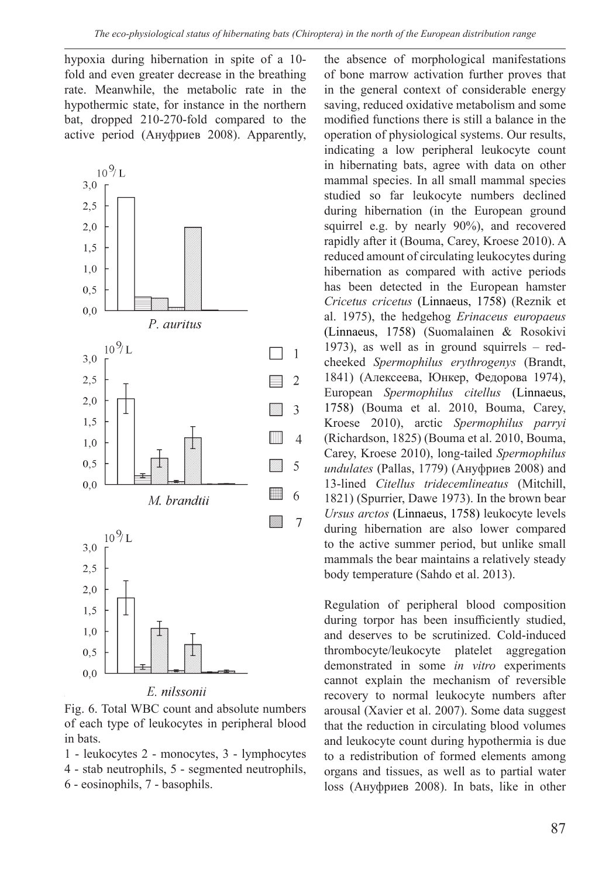hypoxia during hibernation in spite of a 10 fold and even greater decrease in the breathing rate. Meanwhile, the metabolic rate in the hypothermic state, for instance in the northern bat, dropped 210-270-fold compared to the active period (Ануфриев 2008). Apparently,



Fig. 6. Total WBC count and absolute numbers of each type of leukocytes in peripheral blood in bats.

1 - leukocytes 2 - monocytes, 3 - lymphocytes 4 - stab neutrophils, 5 - segmented neutrophils, 6 - eosinophils, 7 - basophils.

the absence of morphological manifestations of bone marrow activation further proves that in the general context of considerable energy saving, reduced oxidative metabolism and some modified functions there is still a balance in the operation of physiological systems. Our results, indicating a low peripheral leukocyte count in hibernating bats, agree with data on other mammal species. In all small mammal species studied so far leukocyte numbers declined during hibernation (in the European ground squirrel e.g. by nearly 90%), and recovered rapidly after it (Bouma, Carey, Kroese 2010). A reduced amount of circulating leukocytes during hibernation as compared with active periods has been detected in the European hamster *Cricetus сricetus* (Linnaeus, 1758) (Reznik et al. 1975), the hedgehog *Erinaceus europaeus*  (Linnaeus, 1758) (Suomalainen & Rosokivi 1973), as well as in ground squirrels – redcheeked *Spermophilus erythrogenys* (Brandt, 1841) (Алексеева, Юнкер, Федорова 1974), European *Spermophilus citellus* (Linnaeus, 1758) (Bouma et al. 2010, Bouma, Carey, Kroese 2010), arctic *Spermophilus parryi*  (Richardson, 1825) (Bouma et al. 2010, Bouma, Carey, Kroese 2010), long-tailed *Spermophilus undulates* (Pallas, 1779) (Ануфриев 2008) and 13-lined *Citellus tridecemlineatus* (Mitchill, 1821) (Spurrier, Dawe 1973). In the brown bear *Ursus arctos* (Linnaeus, 1758) leukocyte levels during hibernation are also lower compared to the active summer period, but unlike small mammals the bear maintains a relatively steady body temperature (Sahdo et al. 2013).

Regulation of peripheral blood composition during torpor has been insufficiently studied, and deserves to be scrutinized. Cold-induced thrombocyte/leukocyte platelet aggregation demonstrated in some *in vitro* experiments cannot explain the mechanism of reversible recovery to normal leukocyte numbers after arousal (Xavier et al. 2007). Some data suggest that the reduction in circulating blood volumes and leukocyte count during hypothermia is due to a redistribution of formed elements among organs and tissues, as well as to partial water loss (Ануфриев 2008). In bats, like in other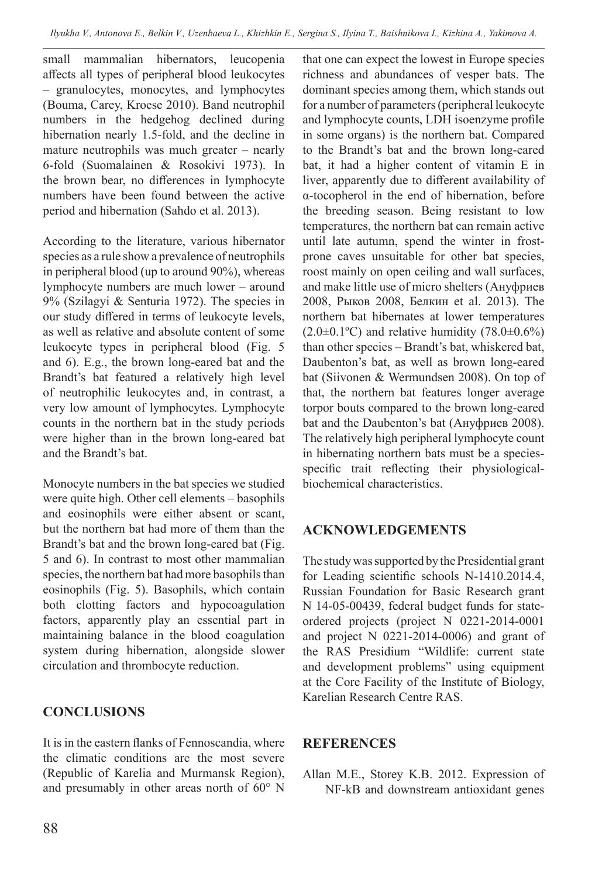small mammalian hibernators, leucopenia affects all types of peripheral blood leukocytes – granulocytes, monocytes, and lymphocytes (Bouma, Carey, Kroese 2010). Band neutrophil numbers in the hedgehog declined during hibernation nearly 1.5-fold, and the decline in mature neutrophils was much greater – nearly 6-fold (Suomalainen & Rosokivi 1973). In the brown bear, no differences in lymphocyte numbers have been found between the active period and hibernation (Sahdo et al. 2013).

According to the literature, various hibernator species as a rule show a prevalence of neutrophils in peripheral blood (up to around 90%), whereas lymphocyte numbers are much lower – around 9% (Szilagyi & Senturia 1972). The species in our study differed in terms of leukocyte levels, as well as relative and absolute content of some leukocyte types in peripheral blood (Fig. 5 and 6). E.g., the brown long-eared bat and the Brandt's bat featured a relatively high level of neutrophilic leukocytes and, in contrast, a very low amount of lymphocytes. Lymphocyte counts in the northern bat in the study periods were higher than in the brown long-eared bat and the Brandt's bat.

Monocyte numbers in the bat species we studied were quite high. Other cell elements – basophils and eosinophils were either absent or scant, but the northern bat had more of them than the Brandt's bat and the brown long-eared bat (Fig. 5 and 6). In contrast to most other mammalian species, the northern bat had more basophils than eosinophils (Fig. 5). Basophils, which contain both clotting factors and hypocoagulation factors, apparently play an essential part in maintaining balance in the blood coagulation system during hibernation, alongside slower circulation and thrombocyte reduction.

# **CONCLUSIONS**

It is in the eastern flanks of Fennoscandia, where the climatic conditions are the most severe (Republic of Karelia and Murmansk Region), and presumably in other areas north of 60° N that one can expect the lowest in Europe species richness and abundances of vesper bats. The dominant species among them, which stands out for a number of parameters (peripheral leukocyte and lymphocyte counts, LDH isoenzyme profile in some organs) is the northern bat. Compared to the Brandt's bat and the brown long-eared bat, it had a higher content of vitamin E in liver, apparently due to different availability of α-tocopherol in the end of hibernation, before the breeding season. Being resistant to low temperatures, the northern bat can remain active until late autumn, spend the winter in frostprone caves unsuitable for other bat species, roost mainly on open ceiling and wall surfaces, and make little use of micro shelters (Ануфриев 2008, Рыков 2008, Белкин et al. 2013). The northern bat hibernates at lower temperatures  $(2.0\pm0.1\text{°C})$  and relative humidity  $(78.0\pm0.6\%)$ than other species – Brandt's bat, whiskered bat, Daubenton's bat, as well as brown long-eared bat (Siivonen & Wermundsen 2008). On top of that, the northern bat features longer average torpor bouts compared to the brown long-eared bat and the Daubenton's bat (Ануфриев 2008). The relatively high peripheral lymphocyte count in hibernating northern bats must be a speciesspecific trait reflecting their physiologicalbiochemical characteristics.

#### **ACKNOWLEDGEMENTS**

The study was supported by the Presidential grant for Leading scientific schools N-1410.2014.4, Russian Foundation for Basic Research grant N 14-05-00439, federal budget funds for stateordered projects (project N 0221-2014-0001 and project N 0221-2014-0006) and grant of the RAS Presidium "Wildlife: current state and development problems" using equipment at the Core Facility of the Institute of Biology, Karelian Research Centre RAS.

#### **REFERENCES**

Allan M.E., Storey K.B. 2012. Expression of NF-kB and downstream antioxidant genes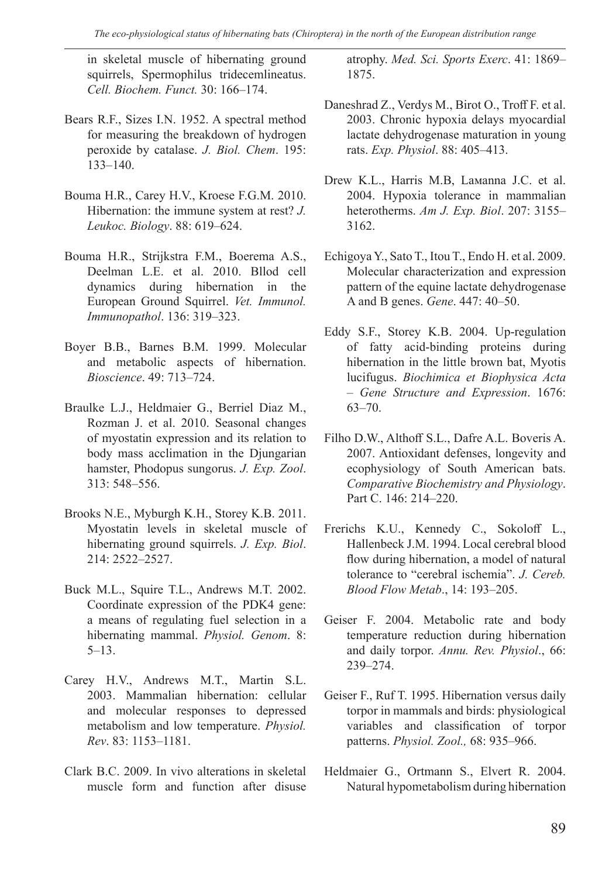in skeletal muscle of hibernating ground squirrels, Spermophilus tridecemlineatus. *Cell. Biochem. Funct.* 30: 166–174.

- Bears R.F., Sizes I.N. 1952. A spectral method for measuring the breakdown of hydrogen peroxide by catalase. *J. Biol. Chem*. 195: 133–140.
- Bouma H.R., Carey H.V., Kroese F.G.M. 2010. Hibernation: the immune system at rest? *J. Leukoc. Biology*. 88: 619–624.
- Bouma Н.R., Strijkstra F.M., Boerema A.S., Deelman L.E. et al. 2010. Bllod cell dynamics during hibernation in the European Ground Squirrel. *Vet. Immunol. Immunopathol*. 136: 319–323.
- Boyer B.B., Barnes B.M. 1999. Molecular and metabolic aspects of hibernation. *Bioscience*. 49: 713–724.
- Braulke L.J., Heldmaier G., Berriel Diaz M., Rozman J. et al. 2010. Seasonal changes of myostatin expression and its relation to body mass acclimation in the Djungarian hamster, Phodopus sungorus. *J. Exp. Zool*. 313: 548–556.
- Brooks N.E., Myburgh K.H., Storey K.B. 2011. Myostatin levels in skeletal muscle of hibernating ground squirrels. *J. Exp. Biol*. 214: 2522–2527.
- Buck M.L., Squire T.L., Andrews M.T. 2002. Coordinate expression of the PDK4 gene: a means of regulating fuel selection in a hibernating mammal. *Physiol. Genom*. 8: 5–13.
- Carey H.V., Andrews M.T., Martin S.L. 2003. Mammalian hibernation: cellular and molecular responses to depressed metabolism and low temperature. *Physiol. Rev*. 83: 1153–1181.
- Clark B.C. 2009. In vivo alterations in skeletal muscle form and function after disuse

atrophy. *Med. Sci. Sports Exerc*. 41: 1869– 1875.

- Daneshrad Z., Verdys M., Birot O., Troff F. et al. 2003. Chronic hypoxia delays myocardial lactate dehydrogenase maturation in young rats. *Exp. Physiol*. 88: 405–413.
- Drew K.L., Harris M.B, Laмanna J.C. et al. 2004. Hypoxia tolerance in mammalian heterotherms. *Am J. Exp. Biol*. 207: 3155– 3162.
- Echigoya Y., Sato T., Itou T., Endo H. et al. 2009. Molecular characterization and expression pattern of the equine lactate dehydrogenase A and B genes. *Gene*. 447: 40–50.
- Eddy S.F., Storey K.B. 2004. Up-regulation of fatty acid-binding proteins during hibernation in the little brown bat, Myotis lucifugus. *Biochimica et Biophysica Acta – Gene Structure and Expression*. 1676: 63–70.
- Filho D.W., Althoff S.L., Dafre A.L. Boveris A. 2007. Antioxidant defenses, longevity and ecophysiology of South American bats. *Comparative Biochemistry and Physiology*. Part C. 146: 214–220.
- Frerichs K.U., Kennedy C., Sokoloff L., Hallenbeck J.M. 1994. Local cerebral blood flow during hibernation, a model of natural tolerance to "cerebral ischemia". *J. Cereb. Blood Flow Metab*., 14: 193–205.
- Geiser F. 2004. Metabolic rate and body temperature reduction during hibernation and daily torpor. *Annu. Rev. Physiol*., 66: 239–274.
- Geiser F., Ruf T. 1995. Hibernation versus daily torpor in mammals and birds: physiological variables and classification of torpor patterns. *Physiol. Zool.,* 68: 935–966.
- Heldmaier G., Ortmann S., Elvert R. 2004. Natural hypometabolism during hibernation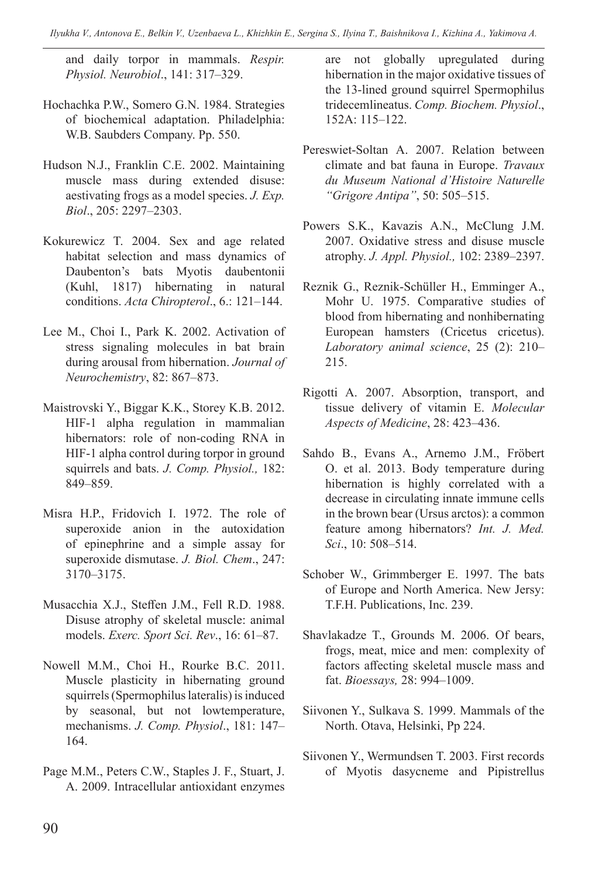*Ilyukha V., Antonova E., Belkin V., Uzenbaeva L., Khizhkin E., Sergina S., Ilyina T., Baishnikova I., Kizhina A., Yakimova A.* 

and daily torpor in mammals. *Respir. Physiol. Neurobiol*., 141: 317–329.

- Hochachka P.W., Somero G.N. 1984. Strategies of biochemical adaptation. Philadelphia: W.B. Saubders Company. Pp. 550.
- Hudson N.J., Franklin C.E. 2002. Maintaining muscle mass during extended disuse: aestivating frogs as a model species. *J. Exp. Biol*., 205: 2297–2303.
- Kokurewicz T. 2004. Sex and age related habitat selection and mass dynamics of Daubenton's bats Myotis daubentonii (Kuhl, 1817) hibernating in natural conditions. *Acta Chiropterol*., 6.: 121–144.
- Lee M., Choi I., Park K. 2002. Activation of stress signaling molecules in bat brain during arousal from hibernation. *Journal of Neurochemistry*, 82: 867–873.
- Maistrovski Y., Biggar K.K., Storey K.B. 2012. HIF-1 alpha regulation in mammalian hibernators: role of non-coding RNA in HIF-1 alpha control during torpor in ground squirrels and bats. *J. Comp. Physiol.,* 182: 849–859.
- Misra H.P., Fridovich I. 1972. The role of superoxide anion in the autoxidation of epinephrine and a simple assay for superoxide dismutase. *J. Biol. Chem*., 247: 3170–3175.
- Musacchia X.J., Steffen J.M., Fell R.D. 1988. Disuse atrophy of skeletal muscle: animal models. *Exerc. Sport Sci. Rev*., 16: 61–87.
- Nowell M.M., Choi H., Rourke B.C. 2011. Muscle plasticity in hibernating ground squirrels (Spermophilus lateralis) is induced by seasonal, but not lowtemperature, mechanisms. *J. Comp. Physiol*., 181: 147– 164.
- Page M.M., Peters C.W., Staples J. F., Stuart, J. A. 2009. Intracellular antioxidant enzymes

are not globally upregulated during hibernation in the major oxidative tissues of the 13-lined ground squirrel Spermophilus tridecemlineatus. *Comp. Biochem. Physiol*., 152A: 115–122.

- Pereswiet-Soltan А. 2007. Relation between climate and bat fauna in Europe. *Travaux du Museum National d'Histoire Naturelle "Grigore Antipa"*, 50: 505–515.
- Powers S.K., Kavazis A.N., McClung J.M. 2007. Oxidative stress and disuse muscle atrophy. *J. Appl. Physiol.,* 102: 2389–2397.
- Reznik G., Reznik-Schüller H., Emminger A., Mohr U. 1975. Comparative studies of blood from hibernating and nonhibernating European hamsters (Cricetus сricetus). *Laboratory animal science*, 25 (2): 210– 215.
- Rigotti A. 2007. Absorption, transport, and tissue delivery of vitamin E. *Molecular Aspects of Medicine*, 28: 423–436.
- Sahdo B., Evans A., Arnemo J.M., Fröbert O. et al. 2013. Body temperature during hibernation is highly correlated with a decrease in circulating innate immune cells in the brown bear (Ursus arctos): a common feature among hibernators? *Int. J. Med. Sci*., 10: 508–514.
- Schober W., Grimmberger E. 1997. The bats of Europe and North America. New Jersy: T.F.H. Publications, Inc. 239.
- Shavlakadze T., Grounds M. 2006. Of bears, frogs, meat, mice and men: complexity of factors affecting skeletal muscle mass and fat. *Bioessays,* 28: 994–1009.
- Siivonen Y., Sulkava S. 1999. Mammals of the North. Otava, Helsinki, Pp 224.
- Siivonen Y., Wermundsen T. 2003. First records of Myotis dasycneme and Pipistrellus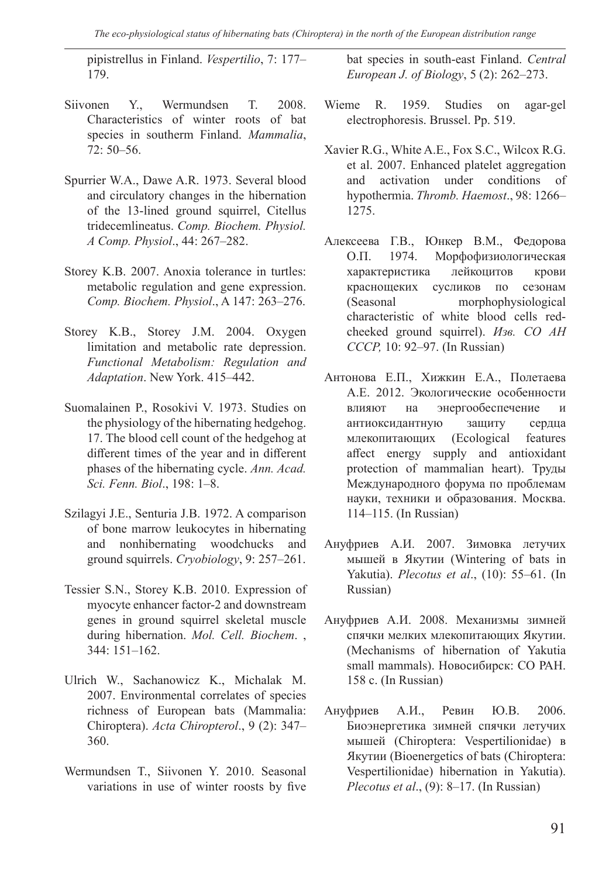pipistrellus in Finland. *Vespertilio*, 7: 177– 179.

- Siivonen Y., Wermundsen T. 2008. Characteristics of winter roots of bat species in southerm Finland. *Mammalia*, 72: 50–56.
- Spurrier W.A., Dawe A.R. 1973. Several blood and circulatory changes in the hibernation of the 13-lined ground squirrel, Citellus tridecemlineatus. *Comp. Biochem. Physiol. A Comp. Physiol*., 44: 267–282.
- Storey K.B. 2007. Anoxia tolerance in turtles: metabolic regulation and gene expression. *Comp. Biochem. Physiol*., A 147: 263–276.
- Storey K.B., Storey J.M. 2004. Oxygen limitation and metabolic rate depression. *Functional Metabolism: Regulation and Adaptation*. New York. 415–442.
- Suomalainen P., Rosokivi V. 1973. Studies on the physiology of the hibernating hedgehog. 17. The blood cell count of the hedgehog at different times of the year and in different phases of the hibernating cycle. *Ann. Acad. Sci. Fenn. Biol*., 198: 1–8.
- Szilagyi J.E., Senturia J.B. 1972. A comparison of bone marrow leukocytes in hibernating and nonhibernating woodchucks and ground squirrels. *Cryobiology*, 9: 257–261.
- Tessier S.N., Storey K.B. 2010. Expression of myocyte enhancer factor-2 and downstream genes in ground squirrel skeletal muscle during hibernation. *Mol. Cell. Biochem*. , 344: 151–162.
- Ulrich W., Sachanowicz K., Michalak M. 2007. Environmental correlates of species richness of European bats (Mammalia: Chiroptera). *Acta Chiropterol*., 9 (2): 347– 360.
- Wermundsen T., Siivonen Y. 2010. Seasonal variations in use of winter roosts by five

bat species in south-east Finland. *Central European J. of Biology*, 5 (2): 262–273.

- Wieme R. 1959. Studies on agar-gel electrophoresis. Brussel. Pp. 519.
- Xavier R.G., White A.E., Fox S.C., Wilcox R.G. et al. 2007. Enhanced platelet aggregation and activation under conditions of hypothermia. *Thromb. Haemost*., 98: 1266– 1275.
- Алексеева Г.В., Юнкер В.М., Федорова О.П. 1974. Морфофизиологическая характеристика лейкоцитов крови краснощеких сусликов по сезонам (Seasonal morphophysiological characteristic of white blood cells redcheeked ground squirrel). *Изв. СО АН СССР,* 10: 92–97. (In Russian)
- Антонова Е.П., Хижкин Е.А., Полетаева А.Е. 2012. Экологические особенности влияют на энергообеспечение и антиоксидантную защиту сердца млекопитающих (Ecological features affect energy supply and antioxidant protection of mammalian heart). Труды Международного форума по проблемам науки, техники и образования. Москва. 114–115. (In Russian)
- Ануфриев А.И. 2007. Зимовка летучих мышей в Якутии (Wintering of bats in Yakutia). *Plecotus et al*., (10): 55–61. (In Russian)
- Ануфриев А.И. 2008. Механизмы зимней спячки мелких млекопитающих Якутии. (Mechanisms of hibernation of Yakutia small mammals). Новосибирск: СО РАН. 158 с. (In Russian)
- Ануфриев А.И., Ревин Ю.В. 2006. Биоэнергетика зимней спячки летучих мышей (Chiroptera: Vespertilionidae) в Якутии (Bioenergetics of bats (Chiroptera: Vespertilionidae) hibernation in Yakutia). *Plecotus et al*., (9): 8–17. (In Russian)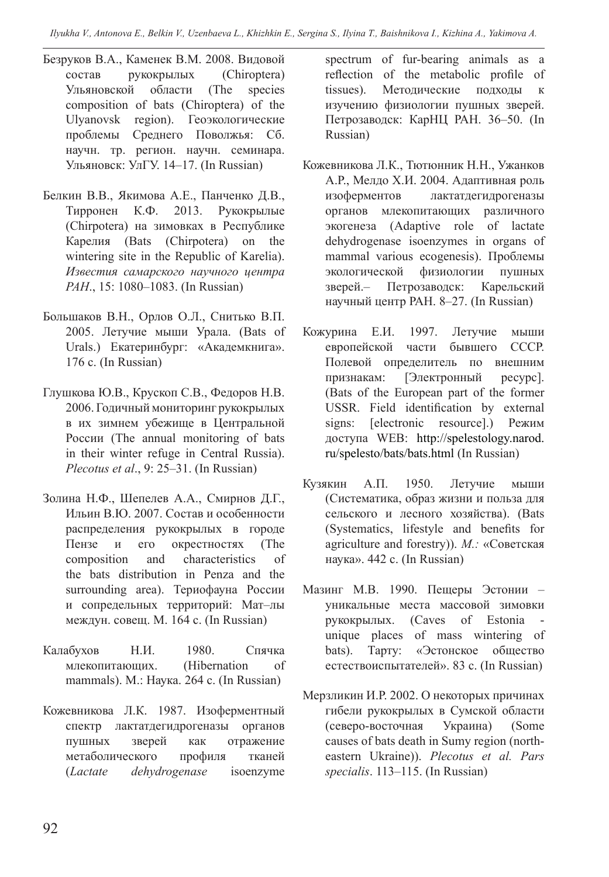*Ilyukha V., Antonova E., Belkin V., Uzenbaeva L., Khizhkin E., Sergina S., Ilyina T., Baishnikova I., Kizhina A., Yakimova A.* 

- Безруков В.А., Каменек В.М. 2008. Видовой состав рукокрылых (Chiroptera) Ульяновской области (The species composition of bats (Chiroptera) of the Ulyanovsk region). Геоэкологические проблемы Среднего Поволжья: Сб. научн. тр. регион. научн. семинара. Ульяновск: УлГУ. 14–17. (In Russian)
- Белкин В.В., Якимова А.Е., Панченко Д.В., Тирронен К.Ф. 2013. Рукокрылые (Chirpotera) на зимовках в Республике Карелия (Bats (Chirpotera) on the wintering site in the Republic of Karelia). *Известия самарского научного центра РАН*., 15: 1080–1083. (In Russian)
- Большаков В.Н., Орлов О.Л., Снитько В.П. 2005. Летучие мыши Урала. (Bats of Urals.) Екатеринбург: «Академкнига». 176 с. (In Russian)
- Глушкова Ю.В., Крускоп С.В., Федоров Н.В. 2006. Годичный мониторинг рукокрылых в их зимнем убежище в Центральной России (The annual monitoring of bats in their winter refuge in Central Russia). *Plecotus et al*., 9: 25–31. (In Russian)
- Золина Н.Ф., Шепелев А.А., Смирнов Д.Г., Ильин В.Ю. 2007. Состав и особенности распределения рукокрылых в городе Пензе и его окрестностях (The composition and characteristics of the bats distribution in Penza and the surrounding area). Териофауна России и сопредельных территорий: Мат–лы междун. совещ. М. 164 с. (In Russian)
- Калабухов Н.И. 1980. Спячка млекопитающих. (Hibernation of mammals). М.: Наука. 264 с. (In Russian)
- Кожевникова Л.К. 1987. Изоферментный спектр лактатдегидрогеназы органов пушных зверей как отражение метаболического профиля тканей (*Lactate dehydrogenase* isoenzyme

spectrum of fur-bearing animals as a reflection of the metabolic profile of tissues). Методические подходы к изучению физиологии пушных зверей. Петрозаводск: КарНЦ РАН. 36–50. (In Russian)

- Кожевникова Л.К., Тютюнник Н.Н., Ужанков А.Р., Мелдо Х.И. 2004. Адаптивная роль изоферментов лактатдегидрогеназы органов млекопитающих различного экогенеза (Adaptive role of lactate dehydrogenase isoenzymes in organs of mammal various ecogenesis). Проблемы экологической физиологии пушных зверей.– Петрозаводск: Карельский научный центр РАН. 8–27. (In Russian)
- Кожурина Е.И. 1997. Летучие мыши европейской части бывшего СССР. Полевой определитель по внешним признакам: [Электронный ресурс]. (Bats of the European part of the former USSR. Field identification by external signs: [electronic resource].) Режим доступа WEB: http://spelestology.narod. ru/spelesto/bats/bats.html (In Russian)
- Кузякин А.П. 1950. Летучие мыши (Систематика, образ жизни и польза для сельского и лесного хозяйства). (Bats (Systematics, lifestyle and benefits for agriculture and forestry)). *М.:* «Советская наука». 442 с. (In Russian)
- Мазинг М.В. 1990. Пещеры Эстонии уникальные места массовой зимовки рукокрылых. (Caves of Estonia unique places of mass wintering of bats). Тарту: «Эстонское общество естествоиспытателей». 83 с. (In Russian)
- Мерзликин И.Р. 2002. О некоторых причинах гибели рукокрылых в Сумской области (северо-восточная Украина) (Some causes of bats death in Sumy region (northeastern Ukraine)). *Plecotus et al. Pars specialis*. 113–115. (In Russian)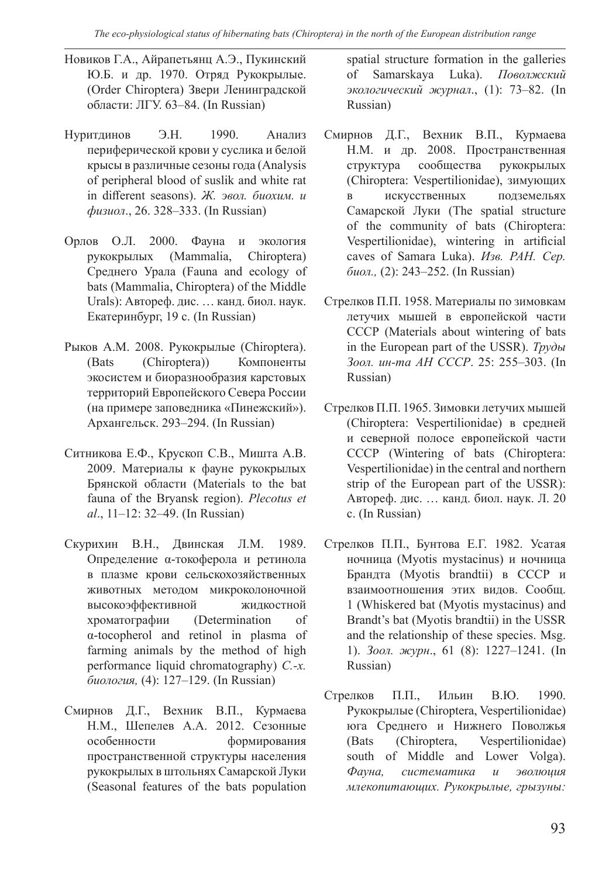- Новиков Г.А., Айрапетьянц А.Э., Пукинский Ю.Б. и др. 1970. Отряд Рукокрылые. (Order Chiroptera) Звери Ленинградской области: ЛГУ. 63–84. (In Russian)
- Нуритдинов Э.Н. 1990. Анализ периферической крови у суслика и белой крысы в различные сезоны года (Analysis of peripheral blood of suslik and white rat in different seasons). *Ж. эвол. биохим. и физиол*., 26. 328–333. (In Russian)
- Орлов О.Л. 2000. Фауна и экология рукокрылых (Mammalia, Chiroptera) Среднего Урала (Fauna and ecology of bats (Mammalia, Chiroptera) of the Middle Urals): Автореф. дис. … канд. биол. наук. Екатеринбург, 19 с. (In Russian)
- Рыков А.М. 2008. Рукокрылые (Chiroptera). (Bats (Chiroptera)) Компоненты экосистем и биоразнообразия карстовых территорий Европейского Севера России (на примере заповедника «Пинежский»). Архангельск. 293–294. (In Russian)
- Ситникова Е.Ф., Крускоп С.В., Мишта А.В. 2009. Материалы к фауне рукокрылых Брянской области (Materials to the bat fauna of the Bryansk region). *Plecotus et al*., 11–12: 32–49. (In Russian)
- Скурихин В.Н., Двинская Л.М. 1989. Определение α-токоферола и ретинола в плазме крови сельскохозяйственных животных методом микроколоночной высокоэффективной жидкостной хроматографии (Determination of α-tocopherol and retinol in plasma of farming animals by the method of high performance liquid chromatography) *С.-х. биология,* (4): 127–129. (In Russian)
- Смирнов Д.Г., Вехник В.П., Курмаева Н.М., Шепелев А.А. 2012. Сезонные особенности формирования пространственной структуры населения рукокрылых в штольнях Самарской Луки (Seasonal features of the bats population

spatial structure formation in the galleries of Samarskaya Luka). *Поволжский экологический журнал*., (1): 73–82. (In Russian)

- Смирнов Д.Г., Вехник В.П., Курмаева Н.М. и др. 2008. Пространственная структура сообщества рукокрылых (Chiroptera: Vespertilionidae), зимующих в искусственных подземельях Самарской Луки (The spatial structure of the community of bats (Chiroptera: Vespertilionidae), wintering in artificial caves of Samara Luka). *Изв. РАН. Сер. биол.,* (2): 243–252. (In Russian)
- Стрелков П.П. 1958. Материалы по зимовкам летучих мышей в европейской части СССР (Materials about wintering of bats in the European part of the USSR). *Труды Зоол. ин-та АН СССР*. 25: 255–303. (In Russian)
- Стрелков П.П. 1965. Зимовки летучих мышей (Chiroptera: Vespertilionidae) в средней и северной полосе европейской части СССР (Wintering of bats (Chiroptera: Vespertilionidae) in the central and northern strip of the European part of the USSR): Автореф. дис. … канд. биол. наук. Л. 20 с. (In Russian)
- Стрелков П.П., Бунтова Е.Г. 1982. Усатая ночница (Myotis mystacinus) и ночница Брандта (Myotis brandtii) в СССР и взаимоотношения этих видов. Сообщ. 1 (Whiskered bat (Myotis mystacinus) and Brandt's bat (Myotis brandtii) in the USSR and the relationship of these species. Msg. 1). *Зоол. журн*., 61 (8): 1227–1241. (In Russian)
- Стрелков П.П., Ильин В.Ю. 1990. Рукокрылые (Chiroptera, Vespertilionidae) юга Среднего и Нижнего Поволжья (Bats (Chiroptera, Vespertilionidae) south of Middle and Lower Volga). *Фауна, систематика и эволюция млекопитающих. Рукокрылые, грызуны:*